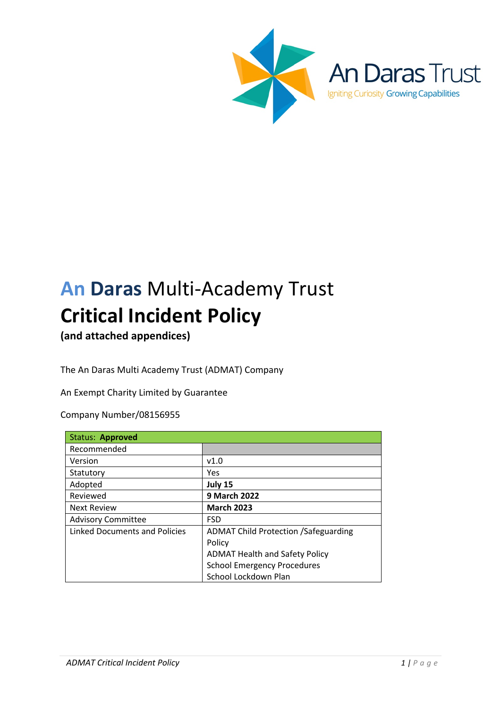

# **An Daras** Multi-Academy Trust **Critical Incident Policy**

**(and attached appendices)**

The An Daras Multi Academy Trust (ADMAT) Company

An Exempt Charity Limited by Guarantee

Company Number/08156955

| Status: Approved                     |                                             |
|--------------------------------------|---------------------------------------------|
| Recommended                          |                                             |
| Version                              | v1.0                                        |
| Statutory                            | Yes                                         |
| Adopted                              | July 15                                     |
| Reviewed                             | 9 March 2022                                |
| <b>Next Review</b>                   | <b>March 2023</b>                           |
| <b>Advisory Committee</b>            | <b>FSD</b>                                  |
| <b>Linked Documents and Policies</b> | <b>ADMAT Child Protection /Safeguarding</b> |
|                                      | Policy                                      |
|                                      | <b>ADMAT Health and Safety Policy</b>       |
|                                      | <b>School Emergency Procedures</b>          |
|                                      | School Lockdown Plan                        |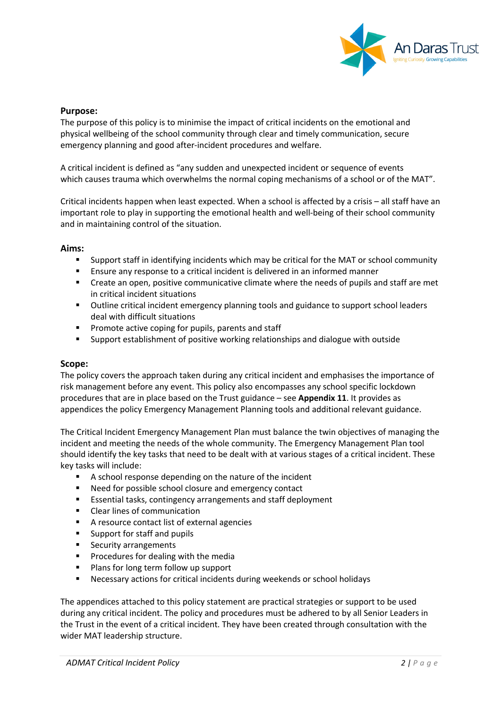

#### **Purpose:**

The purpose of this policy is to minimise the impact of critical incidents on the emotional and physical wellbeing of the school community through clear and timely communication, secure emergency planning and good after-incident procedures and welfare.

A critical incident is defined as "any sudden and unexpected incident or sequence of events which causes trauma which overwhelms the normal coping mechanisms of a school or of the MAT".

Critical incidents happen when least expected. When a school is affected by a crisis – all staff have an important role to play in supporting the emotional health and well-being of their school community and in maintaining control of the situation.

#### **Aims:**

- § Support staff in identifying incidents which may be critical for the MAT or school community
- Ensure any response to a critical incident is delivered in an informed manner
- Create an open, positive communicative climate where the needs of pupils and staff are met in critical incident situations
- § Outline critical incident emergency planning tools and guidance to support school leaders deal with difficult situations
- Promote active coping for pupils, parents and staff
- § Support establishment of positive working relationships and dialogue with outside

#### **Scope:**

The policy covers the approach taken during any critical incident and emphasises the importance of risk management before any event. This policy also encompasses any school specific lockdown procedures that are in place based on the Trust guidance – see **Appendix 11**. It provides as appendices the policy Emergency Management Planning tools and additional relevant guidance.

The Critical Incident Emergency Management Plan must balance the twin objectives of managing the incident and meeting the needs of the whole community. The Emergency Management Plan tool should identify the key tasks that need to be dealt with at various stages of a critical incident. These key tasks will include:

- A school response depending on the nature of the incident
- Need for possible school closure and emergency contact
- Essential tasks, contingency arrangements and staff deployment
- § Clear lines of communication
- A resource contact list of external agencies
- Support for staff and pupils
- Security arrangements
- **•** Procedures for dealing with the media
- Plans for long term follow up support
- Necessary actions for critical incidents during weekends or school holidays

The appendices attached to this policy statement are practical strategies or support to be used during any critical incident. The policy and procedures must be adhered to by all Senior Leaders in the Trust in the event of a critical incident. They have been created through consultation with the wider MAT leadership structure.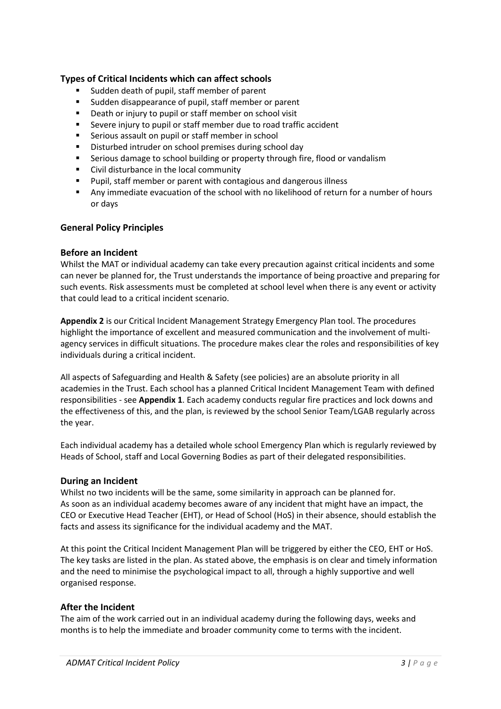## **Types of Critical Incidents which can affect schools**

- § Sudden death of pupil, staff member of parent
- Sudden disappearance of pupil, staff member or parent
- Death or injury to pupil or staff member on school visit
- Severe injury to pupil or staff member due to road traffic accident
- Serious assault on pupil or staff member in school
- Disturbed intruder on school premises during school day
- Serious damage to school building or property through fire, flood or vandalism
- Civil disturbance in the local community
- § Pupil, staff member or parent with contagious and dangerous illness
- Any immediate evacuation of the school with no likelihood of return for a number of hours or days

## **General Policy Principles**

## **Before an Incident**

Whilst the MAT or individual academy can take every precaution against critical incidents and some can never be planned for, the Trust understands the importance of being proactive and preparing for such events. Risk assessments must be completed at school level when there is any event or activity that could lead to a critical incident scenario.

**Appendix 2** is our Critical Incident Management Strategy Emergency Plan tool. The procedures highlight the importance of excellent and measured communication and the involvement of multiagency services in difficult situations. The procedure makes clear the roles and responsibilities of key individuals during a critical incident.

All aspects of Safeguarding and Health & Safety (see policies) are an absolute priority in all academies in the Trust. Each school has a planned Critical Incident Management Team with defined responsibilities - see **Appendix 1**. Each academy conducts regular fire practices and lock downs and the effectiveness of this, and the plan, is reviewed by the school Senior Team/LGAB regularly across the year.

Each individual academy has a detailed whole school Emergency Plan which is regularly reviewed by Heads of School, staff and Local Governing Bodies as part of their delegated responsibilities.

## **During an Incident**

Whilst no two incidents will be the same, some similarity in approach can be planned for. As soon as an individual academy becomes aware of any incident that might have an impact, the CEO or Executive Head Teacher (EHT), or Head of School (HoS) in their absence, should establish the facts and assess its significance for the individual academy and the MAT.

At this point the Critical Incident Management Plan will be triggered by either the CEO, EHT or HoS. The key tasks are listed in the plan. As stated above, the emphasis is on clear and timely information and the need to minimise the psychological impact to all, through a highly supportive and well organised response.

## **After the Incident**

The aim of the work carried out in an individual academy during the following days, weeks and months is to help the immediate and broader community come to terms with the incident.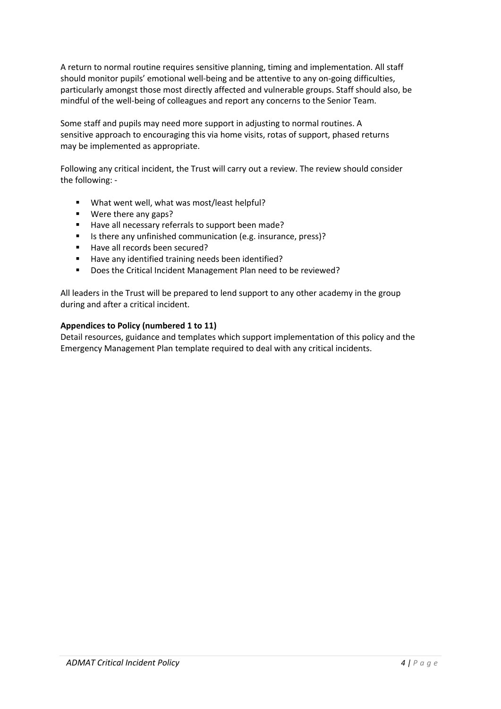A return to normal routine requires sensitive planning, timing and implementation. All staff should monitor pupils' emotional well-being and be attentive to any on-going difficulties, particularly amongst those most directly affected and vulnerable groups. Staff should also, be mindful of the well-being of colleagues and report any concerns to the Senior Team.

Some staff and pupils may need more support in adjusting to normal routines. A sensitive approach to encouraging this via home visits, rotas of support, phased returns may be implemented as appropriate.

Following any critical incident, the Trust will carry out a review. The review should consider the following: -

- What went well, what was most/least helpful?
- Were there any gaps?
- Have all necessary referrals to support been made?
- Is there any unfinished communication (e.g. insurance, press)?
- Have all records been secured?
- Have any identified training needs been identified?
- Does the Critical Incident Management Plan need to be reviewed?

All leaders in the Trust will be prepared to lend support to any other academy in the group during and after a critical incident.

## **Appendices to Policy (numbered 1 to 11)**

Detail resources, guidance and templates which support implementation of this policy and the Emergency Management Plan template required to deal with any critical incidents.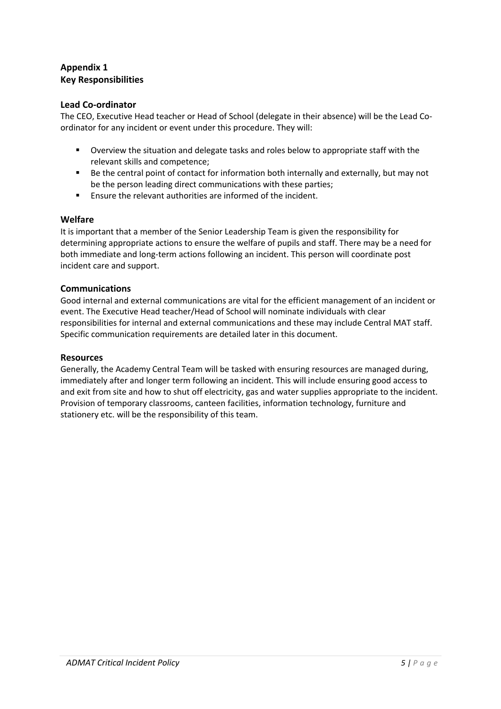# **Appendix 1 Key Responsibilities**

## **Lead Co-ordinator**

The CEO, Executive Head teacher or Head of School (delegate in their absence) will be the Lead Coordinator for any incident or event under this procedure. They will:

- § Overview the situation and delegate tasks and roles below to appropriate staff with the relevant skills and competence;
- Be the central point of contact for information both internally and externally, but may not be the person leading direct communications with these parties;
- Ensure the relevant authorities are informed of the incident.

#### **Welfare**

It is important that a member of the Senior Leadership Team is given the responsibility for determining appropriate actions to ensure the welfare of pupils and staff. There may be a need for both immediate and long-term actions following an incident. This person will coordinate post incident care and support.

#### **Communications**

Good internal and external communications are vital for the efficient management of an incident or event. The Executive Head teacher/Head of School will nominate individuals with clear responsibilities for internal and external communications and these may include Central MAT staff. Specific communication requirements are detailed later in this document.

#### **Resources**

Generally, the Academy Central Team will be tasked with ensuring resources are managed during, immediately after and longer term following an incident. This will include ensuring good access to and exit from site and how to shut off electricity, gas and water supplies appropriate to the incident. Provision of temporary classrooms, canteen facilities, information technology, furniture and stationery etc. will be the responsibility of this team.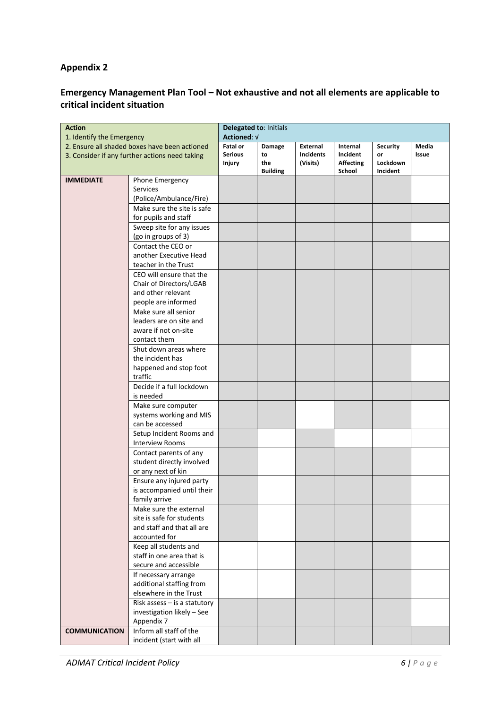# **Emergency Management Plan Tool – Not exhaustive and not all elements are applicable to critical incident situation**

| <b>Action</b><br>1. Identify the Emergency     |                                   | Delegated to: Initials |                        |                  |                            |                      |       |
|------------------------------------------------|-----------------------------------|------------------------|------------------------|------------------|----------------------------|----------------------|-------|
|                                                |                                   | Actioned: V            |                        |                  |                            |                      |       |
| 2. Ensure all shaded boxes have been actioned  |                                   | <b>Fatal or</b>        | Damage                 | External         | Internal                   | <b>Security</b>      | Media |
| 3. Consider if any further actions need taking |                                   | <b>Serious</b>         | to                     | <b>Incidents</b> | Incident                   | or                   | Issue |
|                                                |                                   | <b>Injury</b>          | the<br><b>Building</b> | (Visits)         | <b>Affecting</b><br>School | Lockdown<br>Incident |       |
| <b>IMMEDIATE</b>                               | Phone Emergency                   |                        |                        |                  |                            |                      |       |
|                                                | Services                          |                        |                        |                  |                            |                      |       |
|                                                | (Police/Ambulance/Fire)           |                        |                        |                  |                            |                      |       |
|                                                | Make sure the site is safe        |                        |                        |                  |                            |                      |       |
|                                                | for pupils and staff              |                        |                        |                  |                            |                      |       |
|                                                | Sweep site for any issues         |                        |                        |                  |                            |                      |       |
|                                                | (go in groups of 3)               |                        |                        |                  |                            |                      |       |
|                                                | Contact the CEO or                |                        |                        |                  |                            |                      |       |
|                                                | another Executive Head            |                        |                        |                  |                            |                      |       |
|                                                | teacher in the Trust              |                        |                        |                  |                            |                      |       |
|                                                | CEO will ensure that the          |                        |                        |                  |                            |                      |       |
|                                                | Chair of Directors/LGAB           |                        |                        |                  |                            |                      |       |
|                                                | and other relevant                |                        |                        |                  |                            |                      |       |
|                                                | people are informed               |                        |                        |                  |                            |                      |       |
|                                                | Make sure all senior              |                        |                        |                  |                            |                      |       |
|                                                | leaders are on site and           |                        |                        |                  |                            |                      |       |
|                                                | aware if not on-site              |                        |                        |                  |                            |                      |       |
|                                                | contact them                      |                        |                        |                  |                            |                      |       |
|                                                | Shut down areas where             |                        |                        |                  |                            |                      |       |
|                                                | the incident has                  |                        |                        |                  |                            |                      |       |
|                                                | happened and stop foot<br>traffic |                        |                        |                  |                            |                      |       |
|                                                | Decide if a full lockdown         |                        |                        |                  |                            |                      |       |
|                                                | is needed                         |                        |                        |                  |                            |                      |       |
|                                                | Make sure computer                |                        |                        |                  |                            |                      |       |
|                                                | systems working and MIS           |                        |                        |                  |                            |                      |       |
|                                                | can be accessed                   |                        |                        |                  |                            |                      |       |
|                                                | Setup Incident Rooms and          |                        |                        |                  |                            |                      |       |
|                                                | <b>Interview Rooms</b>            |                        |                        |                  |                            |                      |       |
|                                                | Contact parents of any            |                        |                        |                  |                            |                      |       |
|                                                | student directly involved         |                        |                        |                  |                            |                      |       |
|                                                | or any next of kin                |                        |                        |                  |                            |                      |       |
|                                                | Ensure any injured party          |                        |                        |                  |                            |                      |       |
|                                                | is accompanied until their        |                        |                        |                  |                            |                      |       |
|                                                | family arrive                     |                        |                        |                  |                            |                      |       |
|                                                | Make sure the external            |                        |                        |                  |                            |                      |       |
|                                                | site is safe for students         |                        |                        |                  |                            |                      |       |
|                                                | and staff and that all are        |                        |                        |                  |                            |                      |       |
|                                                | accounted for                     |                        |                        |                  |                            |                      |       |
|                                                | Keep all students and             |                        |                        |                  |                            |                      |       |
|                                                | staff in one area that is         |                        |                        |                  |                            |                      |       |
|                                                | secure and accessible             |                        |                        |                  |                            |                      |       |
|                                                | If necessary arrange              |                        |                        |                  |                            |                      |       |
|                                                | additional staffing from          |                        |                        |                  |                            |                      |       |
|                                                | elsewhere in the Trust            |                        |                        |                  |                            |                      |       |
|                                                | Risk assess $-$ is a statutory    |                        |                        |                  |                            |                      |       |
|                                                | investigation likely - See        |                        |                        |                  |                            |                      |       |
|                                                | Appendix 7                        |                        |                        |                  |                            |                      |       |
| <b>COMMUNICATION</b>                           | Inform all staff of the           |                        |                        |                  |                            |                      |       |
|                                                | incident (start with all          |                        |                        |                  |                            |                      |       |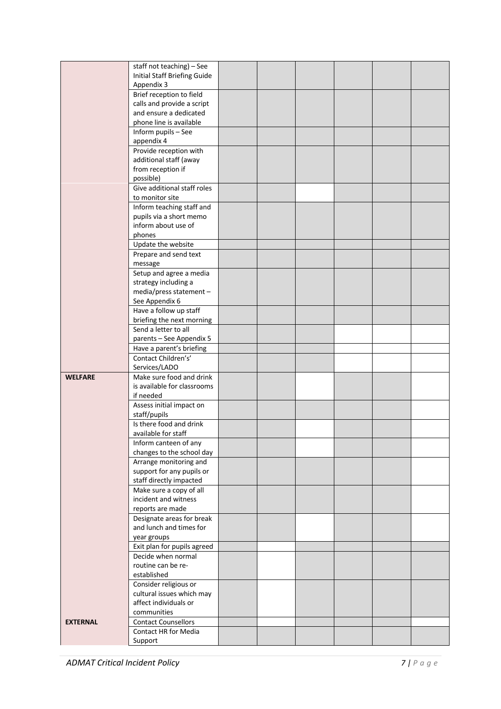|                 | staff not teaching) - See<br><b>Initial Staff Briefing Guide</b> |  |  |  |
|-----------------|------------------------------------------------------------------|--|--|--|
|                 | Appendix 3                                                       |  |  |  |
|                 | Brief reception to field                                         |  |  |  |
|                 | calls and provide a script                                       |  |  |  |
|                 | and ensure a dedicated                                           |  |  |  |
|                 | phone line is available                                          |  |  |  |
|                 | Inform pupils - See                                              |  |  |  |
|                 | appendix 4                                                       |  |  |  |
|                 | Provide reception with                                           |  |  |  |
|                 | additional staff (away                                           |  |  |  |
|                 | from reception if                                                |  |  |  |
|                 | possible)<br>Give additional staff roles                         |  |  |  |
|                 | to monitor site                                                  |  |  |  |
|                 | Inform teaching staff and                                        |  |  |  |
|                 | pupils via a short memo                                          |  |  |  |
|                 | inform about use of                                              |  |  |  |
|                 | phones                                                           |  |  |  |
|                 | Update the website                                               |  |  |  |
|                 | Prepare and send text                                            |  |  |  |
|                 | message                                                          |  |  |  |
|                 | Setup and agree a media                                          |  |  |  |
|                 | strategy including a                                             |  |  |  |
|                 | media/press statement -                                          |  |  |  |
|                 | See Appendix 6                                                   |  |  |  |
|                 | Have a follow up staff<br>briefing the next morning              |  |  |  |
|                 | Send a letter to all                                             |  |  |  |
|                 | parents - See Appendix 5                                         |  |  |  |
|                 | Have a parent's briefing                                         |  |  |  |
|                 | Contact Children's'                                              |  |  |  |
|                 | Services/LADO                                                    |  |  |  |
| <b>WELFARE</b>  | Make sure food and drink                                         |  |  |  |
|                 | is available for classrooms                                      |  |  |  |
|                 | if needed                                                        |  |  |  |
|                 | Assess initial impact on                                         |  |  |  |
|                 | staff/pupils                                                     |  |  |  |
|                 | Is there food and drink<br>available for staff                   |  |  |  |
|                 | Inform canteen of any                                            |  |  |  |
|                 | changes to the school day                                        |  |  |  |
|                 | Arrange monitoring and                                           |  |  |  |
|                 | support for any pupils or                                        |  |  |  |
|                 | staff directly impacted                                          |  |  |  |
|                 | Make sure a copy of all                                          |  |  |  |
|                 | incident and witness                                             |  |  |  |
|                 | reports are made                                                 |  |  |  |
|                 | Designate areas for break                                        |  |  |  |
|                 | and lunch and times for                                          |  |  |  |
|                 | year groups<br>Exit plan for pupils agreed                       |  |  |  |
|                 | Decide when normal                                               |  |  |  |
|                 | routine can be re-                                               |  |  |  |
|                 | established                                                      |  |  |  |
|                 | Consider religious or                                            |  |  |  |
|                 | cultural issues which may                                        |  |  |  |
|                 | affect individuals or                                            |  |  |  |
|                 | communities                                                      |  |  |  |
| <b>EXTERNAL</b> | <b>Contact Counsellors</b>                                       |  |  |  |
|                 | <b>Contact HR for Media</b>                                      |  |  |  |
|                 | Support                                                          |  |  |  |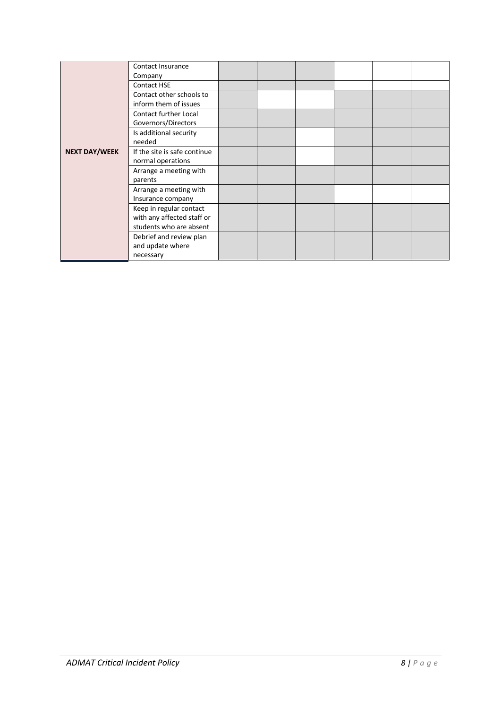|                      | Contact Insurance<br>Company |  |  |  |
|----------------------|------------------------------|--|--|--|
|                      | <b>Contact HSE</b>           |  |  |  |
|                      | Contact other schools to     |  |  |  |
|                      | inform them of issues        |  |  |  |
|                      | <b>Contact further Local</b> |  |  |  |
|                      | Governors/Directors          |  |  |  |
|                      | Is additional security       |  |  |  |
|                      | needed                       |  |  |  |
| <b>NEXT DAY/WEEK</b> | If the site is safe continue |  |  |  |
|                      | normal operations            |  |  |  |
|                      | Arrange a meeting with       |  |  |  |
|                      | parents                      |  |  |  |
|                      | Arrange a meeting with       |  |  |  |
|                      | Insurance company            |  |  |  |
|                      | Keep in regular contact      |  |  |  |
|                      | with any affected staff or   |  |  |  |
|                      | students who are absent      |  |  |  |
|                      | Debrief and review plan      |  |  |  |
|                      | and update where             |  |  |  |
|                      | necessary                    |  |  |  |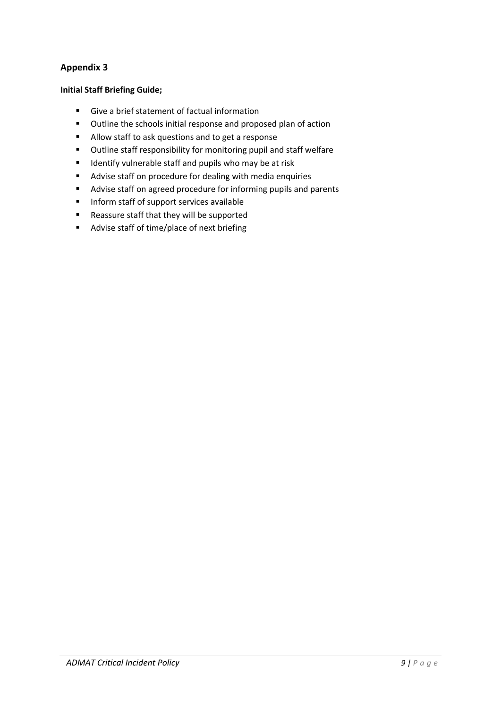## **Initial Staff Briefing Guide;**

- Give a brief statement of factual information
- Outline the schools initial response and proposed plan of action
- Allow staff to ask questions and to get a response
- Outline staff responsibility for monitoring pupil and staff welfare
- Identify vulnerable staff and pupils who may be at risk
- Advise staff on procedure for dealing with media enquiries
- Advise staff on agreed procedure for informing pupils and parents
- Inform staff of support services available
- Reassure staff that they will be supported
- Advise staff of time/place of next briefing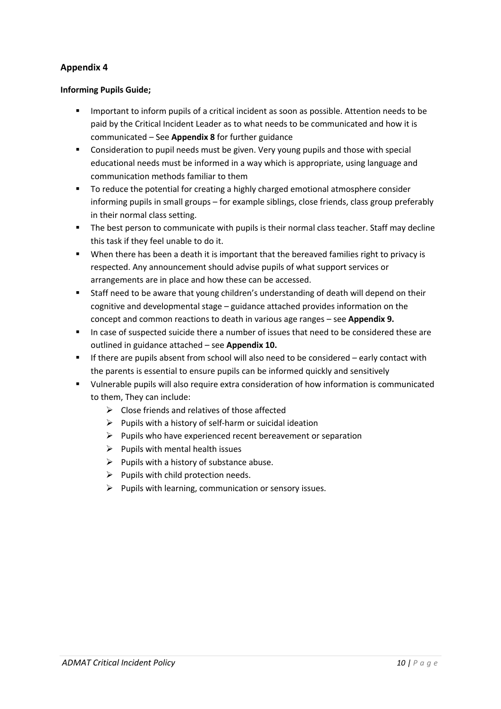## **Informing Pupils Guide;**

- Important to inform pupils of a critical incident as soon as possible. Attention needs to be paid by the Critical Incident Leader as to what needs to be communicated and how it is communicated – See **Appendix 8** for further guidance
- Consideration to pupil needs must be given. Very young pupils and those with special educational needs must be informed in a way which is appropriate, using language and communication methods familiar to them
- To reduce the potential for creating a highly charged emotional atmosphere consider informing pupils in small groups – for example siblings, close friends, class group preferably in their normal class setting.
- **•** The best person to communicate with pupils is their normal class teacher. Staff may decline this task if they feel unable to do it.
- § When there has been a death it is important that the bereaved families right to privacy is respected. Any announcement should advise pupils of what support services or arrangements are in place and how these can be accessed.
- Staff need to be aware that young children's understanding of death will depend on their cognitive and developmental stage – guidance attached provides information on the concept and common reactions to death in various age ranges – see **Appendix 9.**
- In case of suspected suicide there a number of issues that need to be considered these are outlined in guidance attached – see **Appendix 10.**
- If there are pupils absent from school will also need to be considered early contact with the parents is essential to ensure pupils can be informed quickly and sensitively
- § Vulnerable pupils will also require extra consideration of how information is communicated to them, They can include:
	- $\triangleright$  Close friends and relatives of those affected
	- $\triangleright$  Pupils with a history of self-harm or suicidal ideation
	- $\triangleright$  Pupils who have experienced recent bereavement or separation
	- $\triangleright$  Pupils with mental health issues
	- $\triangleright$  Pupils with a history of substance abuse.
	- $\triangleright$  Pupils with child protection needs.
	- $\triangleright$  Pupils with learning, communication or sensory issues.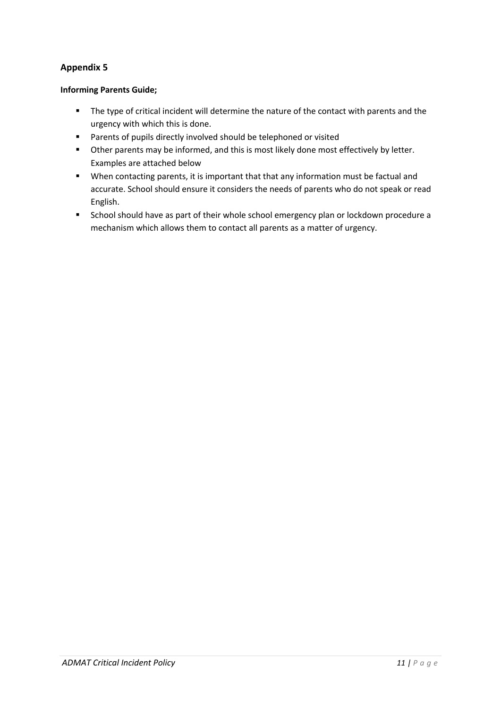## **Informing Parents Guide;**

- The type of critical incident will determine the nature of the contact with parents and the urgency with which this is done.
- Parents of pupils directly involved should be telephoned or visited
- Other parents may be informed, and this is most likely done most effectively by letter. Examples are attached below
- § When contacting parents, it is important that that any information must be factual and accurate. School should ensure it considers the needs of parents who do not speak or read English.
- School should have as part of their whole school emergency plan or lockdown procedure a mechanism which allows them to contact all parents as a matter of urgency.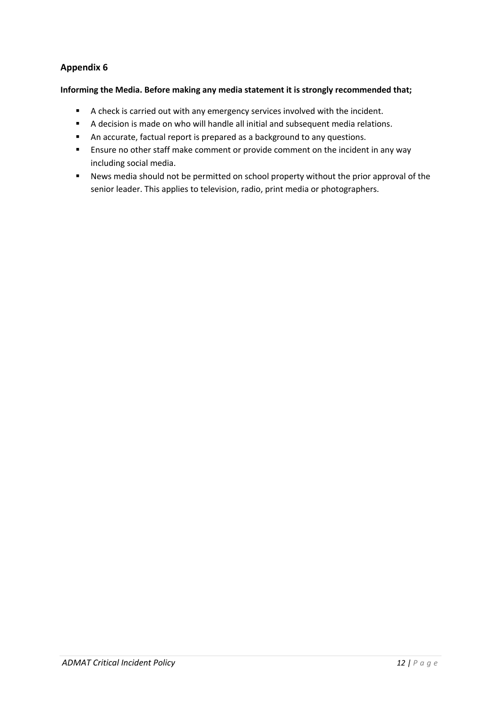#### **Informing the Media. Before making any media statement it is strongly recommended that;**

- A check is carried out with any emergency services involved with the incident.
- A decision is made on who will handle all initial and subsequent media relations.
- An accurate, factual report is prepared as a background to any questions.
- Ensure no other staff make comment or provide comment on the incident in any way including social media.
- News media should not be permitted on school property without the prior approval of the senior leader. This applies to television, radio, print media or photographers.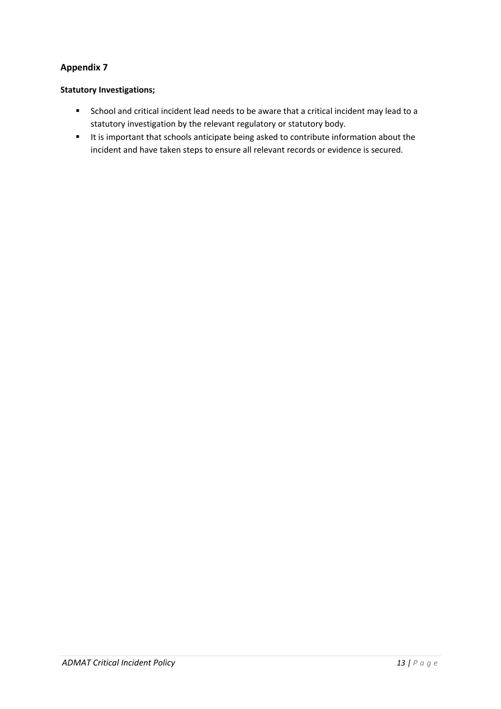## **Statutory Investigations;**

- School and critical incident lead needs to be aware that a critical incident may lead to a statutory investigation by the relevant regulatory or statutory body.
- It is important that schools anticipate being asked to contribute information about the incident and have taken steps to ensure all relevant records or evidence is secured.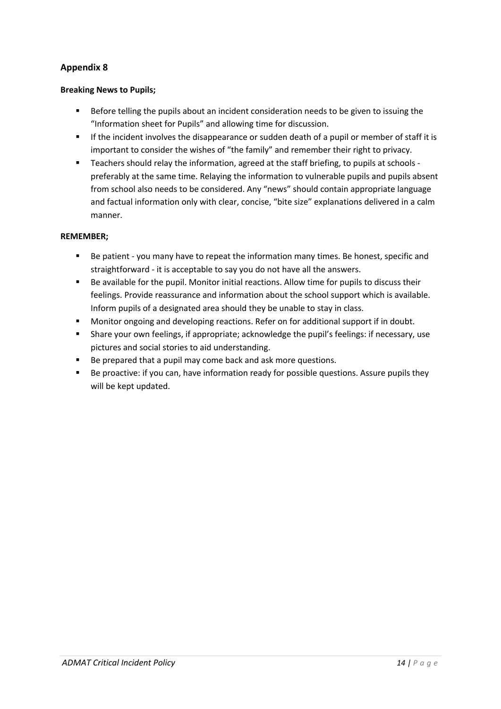## **Breaking News to Pupils;**

- § Before telling the pupils about an incident consideration needs to be given to issuing the "Information sheet for Pupils" and allowing time for discussion.
- **•** If the incident involves the disappearance or sudden death of a pupil or member of staff it is important to consider the wishes of "the family" and remember their right to privacy.
- Teachers should relay the information, agreed at the staff briefing, to pupils at schools preferably at the same time. Relaying the information to vulnerable pupils and pupils absent from school also needs to be considered. Any "news" should contain appropriate language and factual information only with clear, concise, "bite size" explanations delivered in a calm manner.

## **REMEMBER;**

- Be patient you many have to repeat the information many times. Be honest, specific and straightforward - it is acceptable to say you do not have all the answers.
- Be available for the pupil. Monitor initial reactions. Allow time for pupils to discuss their feelings. Provide reassurance and information about the school support which is available. Inform pupils of a designated area should they be unable to stay in class.
- § Monitor ongoing and developing reactions. Refer on for additional support if in doubt.
- § Share your own feelings, if appropriate; acknowledge the pupil's feelings: if necessary, use pictures and social stories to aid understanding.
- Be prepared that a pupil may come back and ask more questions.
- Be proactive: if you can, have information ready for possible questions. Assure pupils they will be kept updated.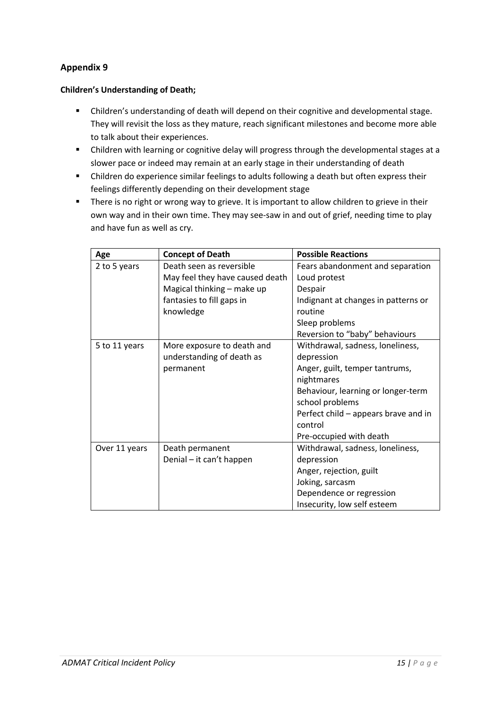## **Children's Understanding of Death;**

- Children's understanding of death will depend on their cognitive and developmental stage. They will revisit the loss as they mature, reach significant milestones and become more able to talk about their experiences.
- Children with learning or cognitive delay will progress through the developmental stages at a slower pace or indeed may remain at an early stage in their understanding of death
- Children do experience similar feelings to adults following a death but often express their feelings differently depending on their development stage
- There is no right or wrong way to grieve. It is important to allow children to grieve in their own way and in their own time. They may see-saw in and out of grief, needing time to play and have fun as well as cry.

| Age           | <b>Concept of Death</b>         | <b>Possible Reactions</b>            |
|---------------|---------------------------------|--------------------------------------|
| 2 to 5 years  | Death seen as reversible        | Fears abandonment and separation     |
|               | May feel they have caused death | Loud protest                         |
|               | Magical thinking - make up      | Despair                              |
|               | fantasies to fill gaps in       | Indignant at changes in patterns or  |
|               | knowledge                       | routine                              |
|               |                                 | Sleep problems                       |
|               |                                 | Reversion to "baby" behaviours       |
| 5 to 11 years | More exposure to death and      | Withdrawal, sadness, loneliness,     |
|               | understanding of death as       | depression                           |
|               | permanent                       | Anger, guilt, temper tantrums,       |
|               |                                 | nightmares                           |
|               |                                 | Behaviour, learning or longer-term   |
|               |                                 | school problems                      |
|               |                                 | Perfect child – appears brave and in |
|               |                                 | control                              |
|               |                                 | Pre-occupied with death              |
| Over 11 years | Death permanent                 | Withdrawal, sadness, loneliness,     |
|               | Denial - it can't happen        | depression                           |
|               |                                 | Anger, rejection, guilt              |
|               |                                 | Joking, sarcasm                      |
|               |                                 | Dependence or regression             |
|               |                                 | Insecurity, low self esteem          |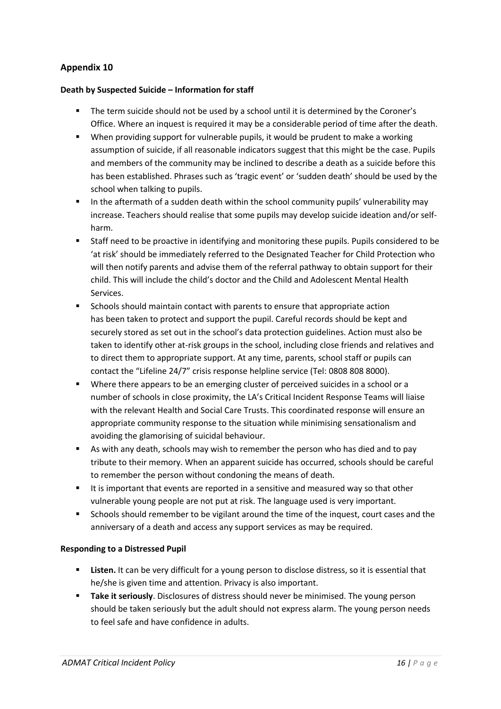#### **Death by Suspected Suicide – Information for staff**

- The term suicide should not be used by a school until it is determined by the Coroner's Office. Where an inquest is required it may be a considerable period of time after the death.
- § When providing support for vulnerable pupils, it would be prudent to make a working assumption of suicide, if all reasonable indicators suggest that this might be the case. Pupils and members of the community may be inclined to describe a death as a suicide before this has been established. Phrases such as 'tragic event' or 'sudden death' should be used by the school when talking to pupils.
- **•** In the aftermath of a sudden death within the school community pupils' vulnerability may increase. Teachers should realise that some pupils may develop suicide ideation and/or selfharm.
- Staff need to be proactive in identifying and monitoring these pupils. Pupils considered to be 'at risk' should be immediately referred to the Designated Teacher for Child Protection who will then notify parents and advise them of the referral pathway to obtain support for their child. This will include the child's doctor and the Child and Adolescent Mental Health Services.
- Schools should maintain contact with parents to ensure that appropriate action has been taken to protect and support the pupil. Careful records should be kept and securely stored as set out in the school's data protection guidelines. Action must also be taken to identify other at-risk groups in the school, including close friends and relatives and to direct them to appropriate support. At any time, parents, school staff or pupils can contact the "Lifeline 24/7" crisis response helpline service (Tel: 0808 808 8000).
- § Where there appears to be an emerging cluster of perceived suicides in a school or a number of schools in close proximity, the LA's Critical Incident Response Teams will liaise with the relevant Health and Social Care Trusts. This coordinated response will ensure an appropriate community response to the situation while minimising sensationalism and avoiding the glamorising of suicidal behaviour.
- § As with any death, schools may wish to remember the person who has died and to pay tribute to their memory. When an apparent suicide has occurred, schools should be careful to remember the person without condoning the means of death.
- It is important that events are reported in a sensitive and measured way so that other vulnerable young people are not put at risk. The language used is very important.
- Schools should remember to be vigilant around the time of the inquest, court cases and the anniversary of a death and access any support services as may be required.

## **Responding to a Distressed Pupil**

- **EXECTE:** Listen. It can be very difficult for a young person to disclose distress, so it is essential that he/she is given time and attention. Privacy is also important.
- **Take it seriously**. Disclosures of distress should never be minimised. The young person should be taken seriously but the adult should not express alarm. The young person needs to feel safe and have confidence in adults.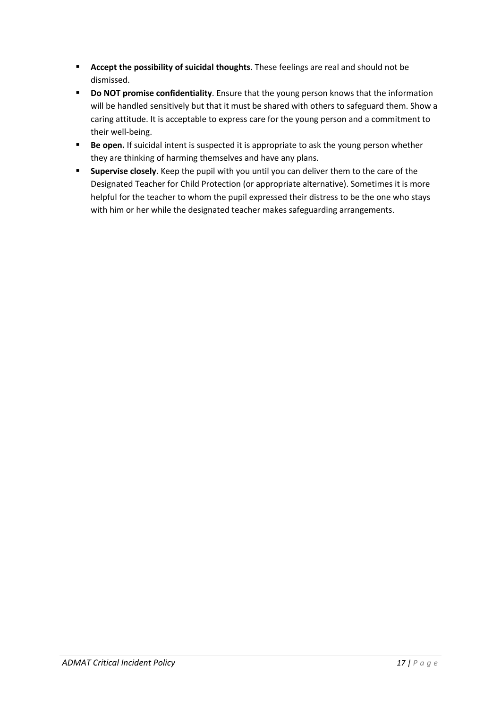- § **Accept the possibility of suicidal thoughts**. These feelings are real and should not be dismissed.
- § **Do NOT promise confidentiality**. Ensure that the young person knows that the information will be handled sensitively but that it must be shared with others to safeguard them. Show a caring attitude. It is acceptable to express care for the young person and a commitment to their well-being.
- **Be open.** If suicidal intent is suspected it is appropriate to ask the young person whether they are thinking of harming themselves and have any plans.
- § **Supervise closely**. Keep the pupil with you until you can deliver them to the care of the Designated Teacher for Child Protection (or appropriate alternative). Sometimes it is more helpful for the teacher to whom the pupil expressed their distress to be the one who stays with him or her while the designated teacher makes safeguarding arrangements.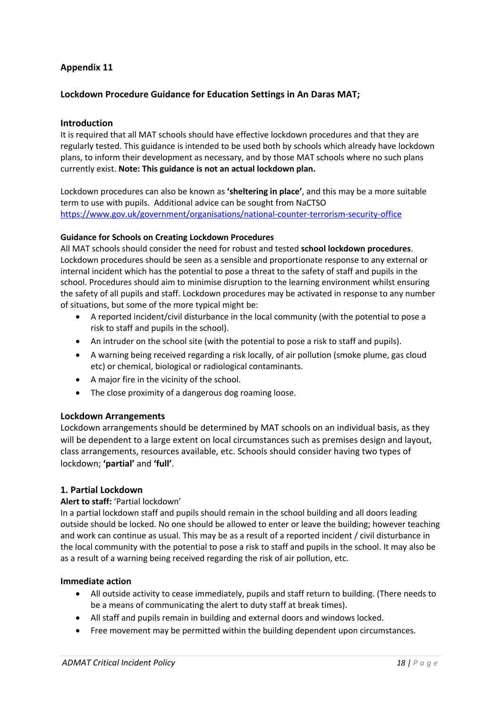## **Lockdown Procedure Guidance for Education Settings in An Daras MAT;**

#### **Introduction**

It is required that all MAT schools should have effective lockdown procedures and that they are regularly tested. This guidance is intended to be used both by schools which already have lockdown plans, to inform their development as necessary, and by those MAT schools where no such plans currently exist. **Note: This guidance is not an actual lockdown plan.** 

Lockdown procedures can also be known as **'sheltering in place'**, and this may be a more suitable term to use with pupils. Additional advice can be sought from NaCTSO https://www.gov.uk/government/organisations/national-counter-terrorism-security-office

#### **Guidance for Schools on Creating Lockdown Procedures**

All MAT schools should consider the need for robust and tested **school lockdown procedures**. Lockdown procedures should be seen as a sensible and proportionate response to any external or internal incident which has the potential to pose a threat to the safety of staff and pupils in the school. Procedures should aim to minimise disruption to the learning environment whilst ensuring the safety of all pupils and staff. Lockdown procedures may be activated in response to any number of situations, but some of the more typical might be:

- A reported incident/civil disturbance in the local community (with the potential to pose a risk to staff and pupils in the school).
- An intruder on the school site (with the potential to pose a risk to staff and pupils).
- A warning being received regarding a risk locally, of air pollution (smoke plume, gas cloud etc) or chemical, biological or radiological contaminants.
- A major fire in the vicinity of the school.
- The close proximity of a dangerous dog roaming loose.

#### **Lockdown Arrangements**

Lockdown arrangements should be determined by MAT schools on an individual basis, as they will be dependent to a large extent on local circumstances such as premises design and layout, class arrangements, resources available, etc. Schools should consider having two types of lockdown; **'partial'** and **'full'**.

## **1. Partial Lockdown**

#### **Alert to staff:** 'Partial lockdown'

In a partial lockdown staff and pupils should remain in the school building and all doors leading outside should be locked. No one should be allowed to enter or leave the building; however teaching and work can continue as usual. This may be as a result of a reported incident / civil disturbance in the local community with the potential to pose a risk to staff and pupils in the school. It may also be as a result of a warning being received regarding the risk of air pollution, etc.

#### **Immediate action**

- All outside activity to cease immediately, pupils and staff return to building. (There needs to be a means of communicating the alert to duty staff at break times).
- All staff and pupils remain in building and external doors and windows locked.
- Free movement may be permitted within the building dependent upon circumstances.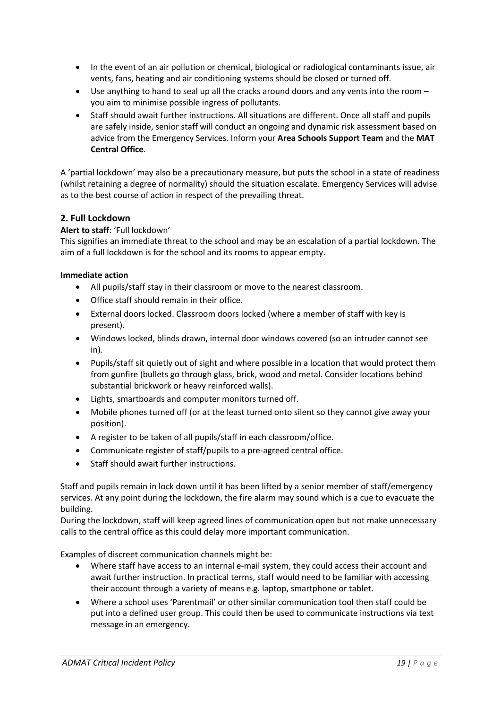- In the event of an air pollution or chemical, biological or radiological contaminants issue, air vents, fans, heating and air conditioning systems should be closed or turned off.
- Use anything to hand to seal up all the cracks around doors and any vents into the room you aim to minimise possible ingress of pollutants.
- Staff should await further instructions. All situations are different. Once all staff and pupils are safely inside, senior staff will conduct an ongoing and dynamic risk assessment based on advice from the Emergency Services. Inform your **Area Schools Support Team** and the **MAT Central Office**.

A 'partial lockdown' may also be a precautionary measure, but puts the school in a state of readiness (whilst retaining a degree of normality) should the situation escalate. Emergency Services will advise as to the best course of action in respect of the prevailing threat.

## **2. Full Lockdown**

## **Alert to staff**: 'Full lockdown'

This signifies an immediate threat to the school and may be an escalation of a partial lockdown. The aim of a full lockdown is for the school and its rooms to appear empty.

#### **Immediate action**

- All pupils/staff stay in their classroom or move to the nearest classroom.
- Office staff should remain in their office.
- External doors locked. Classroom doors locked (where a member of staff with key is present).
- Windows locked, blinds drawn, internal door windows covered (so an intruder cannot see in).
- Pupils/staff sit quietly out of sight and where possible in a location that would protect them from gunfire (bullets go through glass, brick, wood and metal. Consider locations behind substantial brickwork or heavy reinforced walls).
- Lights, smartboards and computer monitors turned off.
- Mobile phones turned off (or at the least turned onto silent so they cannot give away your position).
- A register to be taken of all pupils/staff in each classroom/office.
- Communicate register of staff/pupils to a pre-agreed central office.
- Staff should await further instructions.

Staff and pupils remain in lock down until it has been lifted by a senior member of staff/emergency services. At any point during the lockdown, the fire alarm may sound which is a cue to evacuate the building.

During the lockdown, staff will keep agreed lines of communication open but not make unnecessary calls to the central office as this could delay more important communication.

Examples of discreet communication channels might be:

- Where staff have access to an internal e-mail system, they could access their account and await further instruction. In practical terms, staff would need to be familiar with accessing their account through a variety of means e.g. laptop, smartphone or tablet.
- Where a school uses 'Parentmail' or other similar communication tool then staff could be put into a defined user group. This could then be used to communicate instructions via text message in an emergency.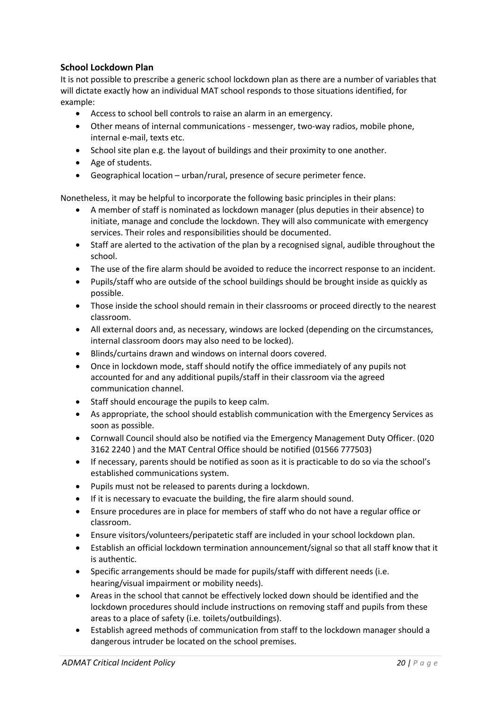## **School Lockdown Plan**

It is not possible to prescribe a generic school lockdown plan as there are a number of variables that will dictate exactly how an individual MAT school responds to those situations identified, for example:

- Access to school bell controls to raise an alarm in an emergency.
- Other means of internal communications messenger, two-way radios, mobile phone, internal e-mail, texts etc.
- School site plan e.g. the layout of buildings and their proximity to one another.
- Age of students.
- Geographical location urban/rural, presence of secure perimeter fence.

Nonetheless, it may be helpful to incorporate the following basic principles in their plans:

- A member of staff is nominated as lockdown manager (plus deputies in their absence) to initiate, manage and conclude the lockdown. They will also communicate with emergency services. Their roles and responsibilities should be documented.
- Staff are alerted to the activation of the plan by a recognised signal, audible throughout the school.
- The use of the fire alarm should be avoided to reduce the incorrect response to an incident.
- Pupils/staff who are outside of the school buildings should be brought inside as quickly as possible.
- Those inside the school should remain in their classrooms or proceed directly to the nearest classroom.
- All external doors and, as necessary, windows are locked (depending on the circumstances, internal classroom doors may also need to be locked).
- Blinds/curtains drawn and windows on internal doors covered.
- Once in lockdown mode, staff should notify the office immediately of any pupils not accounted for and any additional pupils/staff in their classroom via the agreed communication channel.
- Staff should encourage the pupils to keep calm.
- As appropriate, the school should establish communication with the Emergency Services as soon as possible.
- Cornwall Council should also be notified via the Emergency Management Duty Officer. (020 3162 2240 ) and the MAT Central Office should be notified (01566 777503)
- If necessary, parents should be notified as soon as it is practicable to do so via the school's established communications system.
- Pupils must not be released to parents during a lockdown.
- If it is necessary to evacuate the building, the fire alarm should sound.
- Ensure procedures are in place for members of staff who do not have a regular office or classroom.
- Ensure visitors/volunteers/peripatetic staff are included in your school lockdown plan.
- Establish an official lockdown termination announcement/signal so that all staff know that it is authentic.
- Specific arrangements should be made for pupils/staff with different needs (i.e. hearing/visual impairment or mobility needs).
- Areas in the school that cannot be effectively locked down should be identified and the lockdown procedures should include instructions on removing staff and pupils from these areas to a place of safety (i.e. toilets/outbuildings).
- Establish agreed methods of communication from staff to the lockdown manager should a dangerous intruder be located on the school premises.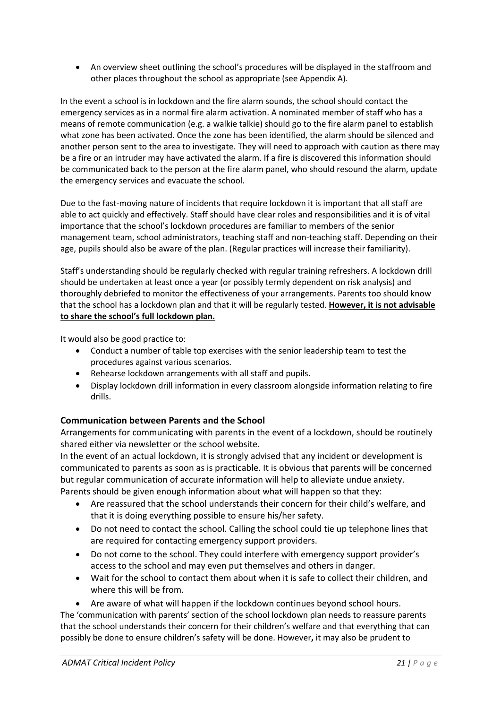• An overview sheet outlining the school's procedures will be displayed in the staffroom and other places throughout the school as appropriate (see Appendix A).

In the event a school is in lockdown and the fire alarm sounds, the school should contact the emergency services as in a normal fire alarm activation. A nominated member of staff who has a means of remote communication (e.g. a walkie talkie) should go to the fire alarm panel to establish what zone has been activated. Once the zone has been identified, the alarm should be silenced and another person sent to the area to investigate. They will need to approach with caution as there may be a fire or an intruder may have activated the alarm. If a fire is discovered this information should be communicated back to the person at the fire alarm panel, who should resound the alarm, update the emergency services and evacuate the school.

Due to the fast-moving nature of incidents that require lockdown it is important that all staff are able to act quickly and effectively. Staff should have clear roles and responsibilities and it is of vital importance that the school's lockdown procedures are familiar to members of the senior management team, school administrators, teaching staff and non-teaching staff. Depending on their age, pupils should also be aware of the plan. (Regular practices will increase their familiarity).

Staff's understanding should be regularly checked with regular training refreshers. A lockdown drill should be undertaken at least once a year (or possibly termly dependent on risk analysis) and thoroughly debriefed to monitor the effectiveness of your arrangements. Parents too should know that the school has a lockdown plan and that it will be regularly tested. **However, it is not advisable to share the school's full lockdown plan.** 

It would also be good practice to:

- Conduct a number of table top exercises with the senior leadership team to test the procedures against various scenarios.
- Rehearse lockdown arrangements with all staff and pupils.
- Display lockdown drill information in every classroom alongside information relating to fire drills.

# **Communication between Parents and the School**

Arrangements for communicating with parents in the event of a lockdown, should be routinely shared either via newsletter or the school website.

In the event of an actual lockdown, it is strongly advised that any incident or development is communicated to parents as soon as is practicable. It is obvious that parents will be concerned but regular communication of accurate information will help to alleviate undue anxiety.

Parents should be given enough information about what will happen so that they:

- Are reassured that the school understands their concern for their child's welfare, and that it is doing everything possible to ensure his/her safety.
- Do not need to contact the school. Calling the school could tie up telephone lines that are required for contacting emergency support providers.
- Do not come to the school. They could interfere with emergency support provider's access to the school and may even put themselves and others in danger.
- Wait for the school to contact them about when it is safe to collect their children, and where this will be from.

• Are aware of what will happen if the lockdown continues beyond school hours.

The 'communication with parents' section of the school lockdown plan needs to reassure parents that the school understands their concern for their children's welfare and that everything that can possibly be done to ensure children's safety will be done. However**,** it may also be prudent to